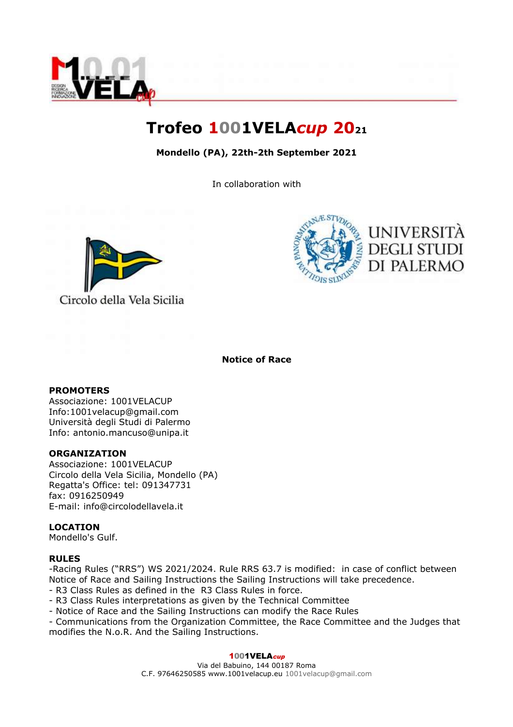

# **Trofeo 1001VELA***cup* **20<sup>21</sup>**

# **Mondello (PA), 22th-2th September 2021**

In collaboration with





#### **Notice of Race**

#### **PROMOTERS**

Associazione: 1001VELACUP Info:1001velacup@gmail.com Università degli Studi di Palermo Info: antonio.mancuso@unipa.it

#### **ORGANIZATION**

Associazione: 1001VELACUP Circolo della Vela Sicilia, Mondello (PA) Regatta's Office: tel: 091347731 fax: 0916250949 E-mail: info@circolodellavela.it

#### **LOCATION**

Mondello's Gulf.

#### **RULES**

-Racing Rules ("RRS") WS 2021/2024. Rule RRS 63.7 is modified: in case of conflict between Notice of Race and Sailing Instructions the Sailing Instructions will take precedence.

- R3 Class Rules as defined in the R3 Class Rules in force.
- R3 Class Rules interpretations as given by the Technical Committee
- Notice of Race and the Sailing Instructions can modify the Race Rules
- Communications from the Organization Committee, the Race Committee and the Judges that modifies the N.o.R. And the Sailing Instructions.

#### 1001VELAcup

Via del Babuino, 144 00187 Roma C.F. 97646250585 www.1001velacup.eu 1001velacup@gmail.com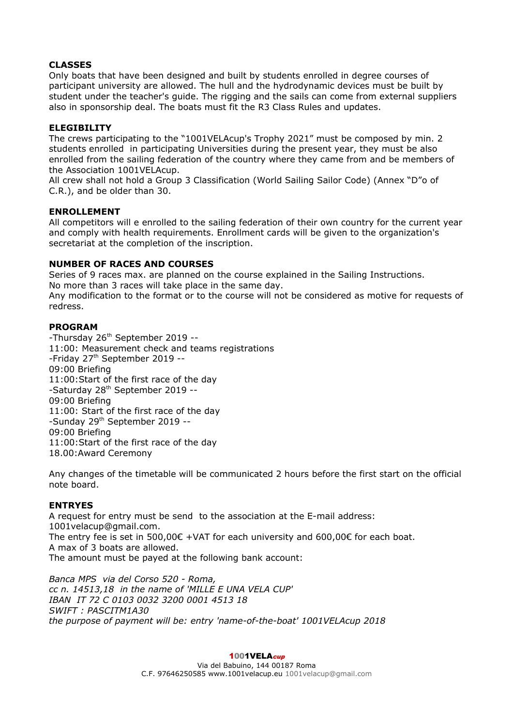## **CLASSES**

Only boats that have been designed and built by students enrolled in degree courses of participant university are allowed. The hull and the hydrodynamic devices must be built by student under the teacher's guide. The rigging and the sails can come from external suppliers also in sponsorship deal. The boats must fit the R3 Class Rules and updates.

#### **ELEGIBILITY**

The crews participating to the "1001VELAcup's Trophy 2021" must be composed by min. 2 students enrolled in participating Universities during the present year, they must be also enrolled from the sailing federation of the country where they came from and be members of the Association 1001VELAcup.

All crew shall not hold a Group 3 Classification (World Sailing Sailor Code) (Annex "D"o of C.R.), and be older than 30.

#### **ENROLLEMENT**

All competitors will e enrolled to the sailing federation of their own country for the current year and comply with health requirements. Enrollment cards will be given to the organization's secretariat at the completion of the inscription.

## **NUMBER OF RACES AND COURSES**

Series of 9 races max. are planned on the course explained in the Sailing Instructions. No more than 3 races will take place in the same day. Any modification to the format or to the course will not be considered as motive for requests of redress.

## **PROGRAM**

-Thursday 26<sup>th</sup> September 2019 --11:00: Measurement check and teams registrations -Friday 27<sup>th</sup> September 2019 --09:00 Briefing 11:00:Start of the first race of the day -Saturday 28<sup>th</sup> September 2019 --09:00 Briefing 11:00: Start of the first race of the day -Sunday 29th September 2019 -- 09:00 Briefing 11:00:Start of the first race of the day 18.00:Award Ceremony

Any changes of the timetable will be communicated 2 hours before the first start on the official note board.

## **ENTRYES**

A request for entry must be send to the association at the E-mail address: [1001velacup@gmail.com.](mailto:1001velacup@gmail.com) The entry fee is set in 500,00 $\epsilon$  +VAT for each university and 600,00 $\epsilon$  for each boat. A max of 3 boats are allowed. The amount must be payed at the following bank account:

*Banca MPS via del Corso 520 - Roma, cc n. 14513,18 in the name of 'MILLE E UNA VELA CUP' IBAN IT 72 C 0103 0032 3200 0001 4513 18 SWIFT : PASCITM1A30 the purpose of payment will be: entry 'name-of-the-boat' 1001VELAcup 2018*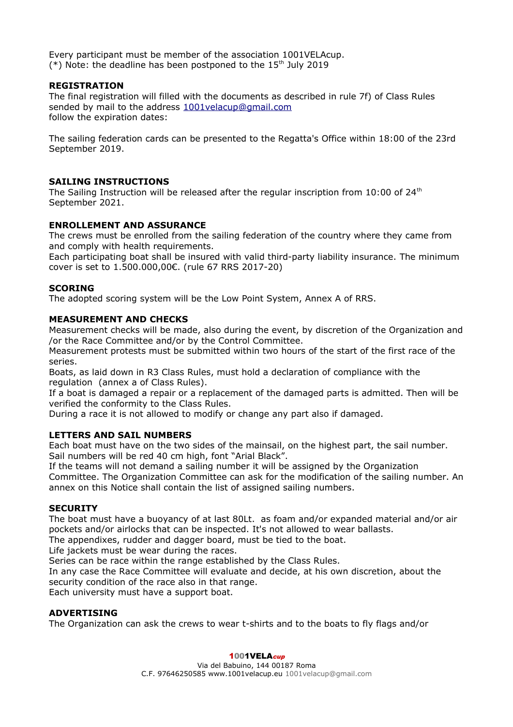Every participant must be member of the association 1001VELAcup. (\*) Note: the deadline has been postponed to the  $15<sup>th</sup>$  July 2019

#### **REGISTRATION**

The final registration will filled with the documents as described in rule 7f) of Class Rules sended by mail to the address [1001velacup@gmail.com](mailto:1001velacup@gmail.com) follow the expiration dates:

The sailing federation cards can be presented to the Regatta's Office within 18:00 of the 23rd September 2019.

## **SAILING INSTRUCTIONS**

The Sailing Instruction will be released after the regular inscription from 10:00 of  $24<sup>th</sup>$ September 2021.

## **ENROLLEMENT AND ASSURANCE**

The crews must be enrolled from the sailing federation of the country where they came from and comply with health requirements.

Each participating boat shall be insured with valid third-party liability insurance. The minimum cover is set to 1.500.000,00€. (rule 67 RRS 2017-20)

## **SCORING**

The adopted scoring system will be the Low Point System, Annex A of RRS.

## **MEASUREMENT AND CHECKS**

Measurement checks will be made, also during the event, by discretion of the Organization and /or the Race Committee and/or by the Control Committee.

Measurement protests must be submitted within two hours of the start of the first race of the series.

Boats, as laid down in R3 Class Rules, must hold a declaration of compliance with the regulation (annex a of Class Rules).

If a boat is damaged a repair or a replacement of the damaged parts is admitted. Then will be verified the conformity to the Class Rules.

During a race it is not allowed to modify or change any part also if damaged.

#### **LETTERS AND SAIL NUMBERS**

Each boat must have on the two sides of the mainsail, on the highest part, the sail number. Sail numbers will be red 40 cm high, font "Arial Black".

If the teams will not demand a sailing number it will be assigned by the Organization Committee. The Organization Committee can ask for the modification of the sailing number. An annex on this Notice shall contain the list of assigned sailing numbers.

#### **SECURITY**

The boat must have a buoyancy of at last 80Lt. as foam and/or expanded material and/or air pockets and/or airlocks that can be inspected. It's not allowed to wear ballasts.

The appendixes, rudder and dagger board, must be tied to the boat.

Life jackets must be wear during the races.

Series can be race within the range established by the Class Rules.

In any case the Race Committee will evaluate and decide, at his own discretion, about the security condition of the race also in that range.

Each university must have a support boat.

#### **ADVERTISING**

The Organization can ask the crews to wear t-shirts and to the boats to fly flags and/or

#### 1001VELAcup

Via del Babuino, 144 00187 Roma C.F. 97646250585 www.1001velacup.eu 1001velacup@gmail.com